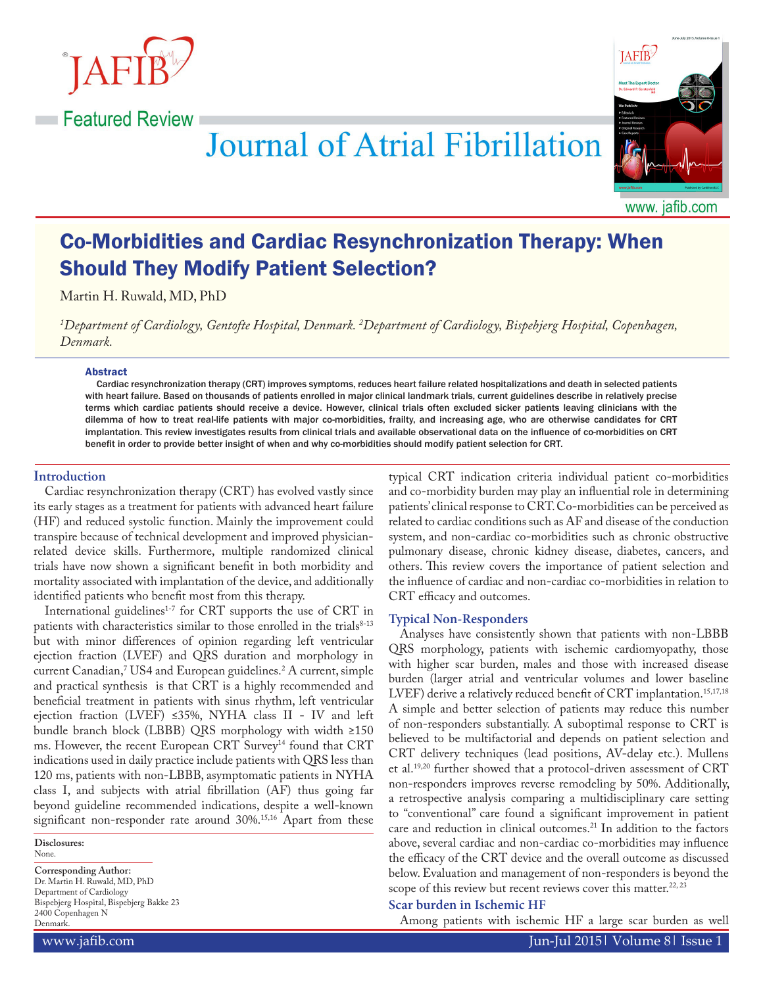

**Journal of Atrial Fibrillation** 



www. jafib.com

# Co-Morbidities and Cardiac Resynchronization Therapy: When Should They Modify Patient Selection?

Martin H. Ruwald, MD, PhD

*1 Department of Cardiology, Gentofte Hospital, Denmark. 2 Department of Cardiology, Bispebjerg Hospital, Copenhagen, Denmark.*

#### Abstract

Cardiac resynchronization therapy (CRT) improves symptoms, reduces heart failure related hospitalizations and death in selected patients with heart failure. Based on thousands of patients enrolled in major clinical landmark trials, current guidelines describe in relatively precise terms which cardiac patients should receive a device. However, clinical trials often excluded sicker patients leaving clinicians with the dilemma of how to treat real-life patients with major co-morbidities, frailty, and increasing age, who are otherwise candidates for CRT implantation. This review investigates results from clinical trials and available observational data on the influence of co-morbidities on CRT benefit in order to provide better insight of when and why co-morbidities should modify patient selection for CRT.

## **Introduction**

Cardiac resynchronization therapy (CRT) has evolved vastly since its early stages as a treatment for patients with advanced heart failure (HF) and reduced systolic function. Mainly the improvement could transpire because of technical development and improved physicianrelated device skills. Furthermore, multiple randomized clinical trials have now shown a significant benefit in both morbidity and mortality associated with implantation of the device, and additionally identified patients who benefit most from this therapy.

International guidelines<sup>1-7</sup> for CRT supports the use of CRT in patients with characteristics similar to those enrolled in the trials8-13 but with minor differences of opinion regarding left ventricular ejection fraction (LVEF) and QRS duration and morphology in current Canadian,7 US4 and European guidelines.2 A current, simple and practical synthesis is that CRT is a highly recommended and beneficial treatment in patients with sinus rhythm, left ventricular ejection fraction (LVEF) ≤35%, NYHA class II - IV and left bundle branch block (LBBB) QRS morphology with width ≥150 ms. However, the recent European CRT Survey<sup>14</sup> found that CRT indications used in daily practice include patients with QRS less than 120 ms, patients with non-LBBB, asymptomatic patients in NYHA class I, and subjects with atrial fibrillation (AF) thus going far beyond guideline recommended indications, despite a well-known significant non-responder rate around 30%.15,16 Apart from these

**Disclosures:** None.

**Corresponding Author:**

Dr. Martin H. Ruwald, MD, PhD Department of Cardiology Bispebjerg Hospital, Bispebjerg Bakke 23 2400 Copenhagen N Denmark.

typical CRT indication criteria individual patient co-morbidities and co-morbidity burden may play an influential role in determining patients' clinical response to CRT. Co-morbidities can be perceived as related to cardiac conditions such as AF and disease of the conduction system, and non-cardiac co-morbidities such as chronic obstructive pulmonary disease, chronic kidney disease, diabetes, cancers, and others. This review covers the importance of patient selection and the influence of cardiac and non-cardiac co-morbidities in relation to CRT efficacy and outcomes.

### **Typical Non-Responders**

Analyses have consistently shown that patients with non-LBBB QRS morphology, patients with ischemic cardiomyopathy, those with higher scar burden, males and those with increased disease burden (larger atrial and ventricular volumes and lower baseline LVEF) derive a relatively reduced benefit of CRT implantation.<sup>15,17,18</sup> A simple and better selection of patients may reduce this number of non-responders substantially. A suboptimal response to CRT is believed to be multifactorial and depends on patient selection and CRT delivery techniques (lead positions, AV-delay etc.). Mullens et al.19,20 further showed that a protocol-driven assessment of CRT non-responders improves reverse remodeling by 50%. Additionally, a retrospective analysis comparing a multidisciplinary care setting to "conventional" care found a significant improvement in patient care and reduction in clinical outcomes.<sup>21</sup> In addition to the factors above, several cardiac and non-cardiac co-morbidities may influence the efficacy of the CRT device and the overall outcome as discussed below. Evaluation and management of non-responders is beyond the scope of this review but recent reviews cover this matter. $22, 23$ 

## **Scar burden in Ischemic HF**

Among patients with ischemic HF a large scar burden as well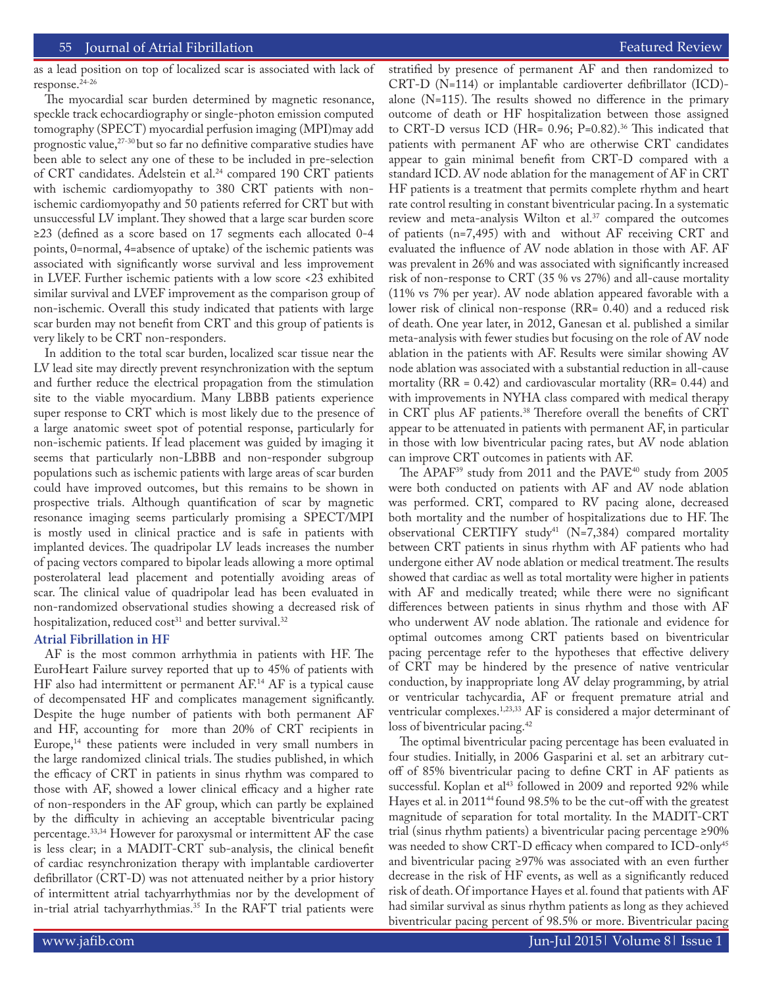as a lead position on top of localized scar is associated with lack of response.<sup>24-26</sup>

The myocardial scar burden determined by magnetic resonance, speckle track echocardiography or single-photon emission computed tomography (SPECT) myocardial perfusion imaging (MPI)may add prognostic value,<sup>27-30</sup> but so far no definitive comparative studies have been able to select any one of these to be included in pre-selection of CRT candidates. Adelstein et al.<sup>24</sup> compared 190 CRT patients with ischemic cardiomyopathy to 380 CRT patients with nonischemic cardiomyopathy and 50 patients referred for CRT but with unsuccessful LV implant. They showed that a large scar burden score ≥23 (defined as a score based on 17 segments each allocated 0-4 points, 0=normal, 4=absence of uptake) of the ischemic patients was associated with significantly worse survival and less improvement in LVEF. Further ischemic patients with a low score <23 exhibited similar survival and LVEF improvement as the comparison group of non-ischemic. Overall this study indicated that patients with large scar burden may not benefit from CRT and this group of patients is very likely to be CRT non-responders.

In addition to the total scar burden, localized scar tissue near the LV lead site may directly prevent resynchronization with the septum and further reduce the electrical propagation from the stimulation site to the viable myocardium. Many LBBB patients experience super response to CRT which is most likely due to the presence of a large anatomic sweet spot of potential response, particularly for non-ischemic patients. If lead placement was guided by imaging it seems that particularly non-LBBB and non-responder subgroup populations such as ischemic patients with large areas of scar burden could have improved outcomes, but this remains to be shown in prospective trials. Although quantification of scar by magnetic resonance imaging seems particularly promising a SPECT/MPI is mostly used in clinical practice and is safe in patients with implanted devices. The quadripolar LV leads increases the number of pacing vectors compared to bipolar leads allowing a more optimal posterolateral lead placement and potentially avoiding areas of scar. The clinical value of quadripolar lead has been evaluated in non-randomized observational studies showing a decreased risk of hospitalization, reduced cost<sup>31</sup> and better survival.<sup>32</sup>

#### **Atrial Fibrillation in HF**

AF is the most common arrhythmia in patients with HF. The EuroHeart Failure survey reported that up to 45% of patients with HF also had intermittent or permanent  $AF$ .<sup>14</sup> AF is a typical cause of decompensated HF and complicates management significantly. Despite the huge number of patients with both permanent AF and HF, accounting for more than 20% of CRT recipients in Europe,<sup>14</sup> these patients were included in very small numbers in the large randomized clinical trials. The studies published, in which the efficacy of CRT in patients in sinus rhythm was compared to those with AF, showed a lower clinical efficacy and a higher rate of non-responders in the AF group, which can partly be explained by the difficulty in achieving an acceptable biventricular pacing percentage.33,34 However for paroxysmal or intermittent AF the case is less clear; in a MADIT-CRT sub-analysis, the clinical benefit of cardiac resynchronization therapy with implantable cardioverter defibrillator (CRT-D) was not attenuated neither by a prior history of intermittent atrial tachyarrhythmias nor by the development of in-trial atrial tachyarrhythmias.<sup>35</sup> In the RAFT trial patients were

stratified by presence of permanent AF and then randomized to CRT-D (N=114) or implantable cardioverter defibrillator (ICD) alone (N=115). The results showed no difference in the primary outcome of death or HF hospitalization between those assigned to CRT-D versus ICD (HR= 0.96; P=0.82).36 This indicated that patients with permanent AF who are otherwise CRT candidates appear to gain minimal benefit from CRT-D compared with a standard ICD. AV node ablation for the management of AF in CRT HF patients is a treatment that permits complete rhythm and heart rate control resulting in constant biventricular pacing. In a systematic review and meta-analysis Wilton et al.<sup>37</sup> compared the outcomes of patients (n=7,495) with and without AF receiving CRT and evaluated the influence of AV node ablation in those with AF. AF was prevalent in 26% and was associated with significantly increased risk of non-response to CRT (35 % vs 27%) and all-cause mortality (11% vs 7% per year). AV node ablation appeared favorable with a lower risk of clinical non-response (RR= 0.40) and a reduced risk of death. One year later, in 2012, Ganesan et al. published a similar meta-analysis with fewer studies but focusing on the role of AV node ablation in the patients with AF. Results were similar showing AV node ablation was associated with a substantial reduction in all-cause mortality ( $RR = 0.42$ ) and cardiovascular mortality ( $RR = 0.44$ ) and with improvements in NYHA class compared with medical therapy in CRT plus AF patients.<sup>38</sup> Therefore overall the benefits of CRT appear to be attenuated in patients with permanent AF, in particular in those with low biventricular pacing rates, but AV node ablation can improve CRT outcomes in patients with AF.

The APAF<sup>39</sup> study from 2011 and the PAVE<sup>40</sup> study from 2005 were both conducted on patients with AF and AV node ablation was performed. CRT, compared to RV pacing alone, decreased both mortality and the number of hospitalizations due to HF. The observational CERTIFY study<sup>41</sup> (N=7,384) compared mortality between CRT patients in sinus rhythm with AF patients who had undergone either AV node ablation or medical treatment. The results showed that cardiac as well as total mortality were higher in patients with AF and medically treated; while there were no significant differences between patients in sinus rhythm and those with AF who underwent AV node ablation. The rationale and evidence for optimal outcomes among CRT patients based on biventricular pacing percentage refer to the hypotheses that effective delivery of CRT may be hindered by the presence of native ventricular conduction, by inappropriate long AV delay programming, by atrial or ventricular tachycardia, AF or frequent premature atrial and ventricular complexes.<sup>1,23,33</sup> AF is considered a major determinant of loss of biventricular pacing.<sup>42</sup>

The optimal biventricular pacing percentage has been evaluated in four studies. Initially, in 2006 Gasparini et al. set an arbitrary cutoff of 85% biventricular pacing to define CRT in AF patients as successful. Koplan et al<sup>43</sup> followed in 2009 and reported 92% while Hayes et al. in 2011<sup>44</sup> found 98.5% to be the cut-off with the greatest magnitude of separation for total mortality. In the MADIT-CRT trial (sinus rhythm patients) a biventricular pacing percentage ≥90% was needed to show CRT-D efficacy when compared to ICD-only<sup>45</sup> and biventricular pacing ≥97% was associated with an even further decrease in the risk of HF events, as well as a significantly reduced risk of death. Of importance Hayes et al. found that patients with AF had similar survival as sinus rhythm patients as long as they achieved biventricular pacing percent of 98.5% or more. Biventricular pacing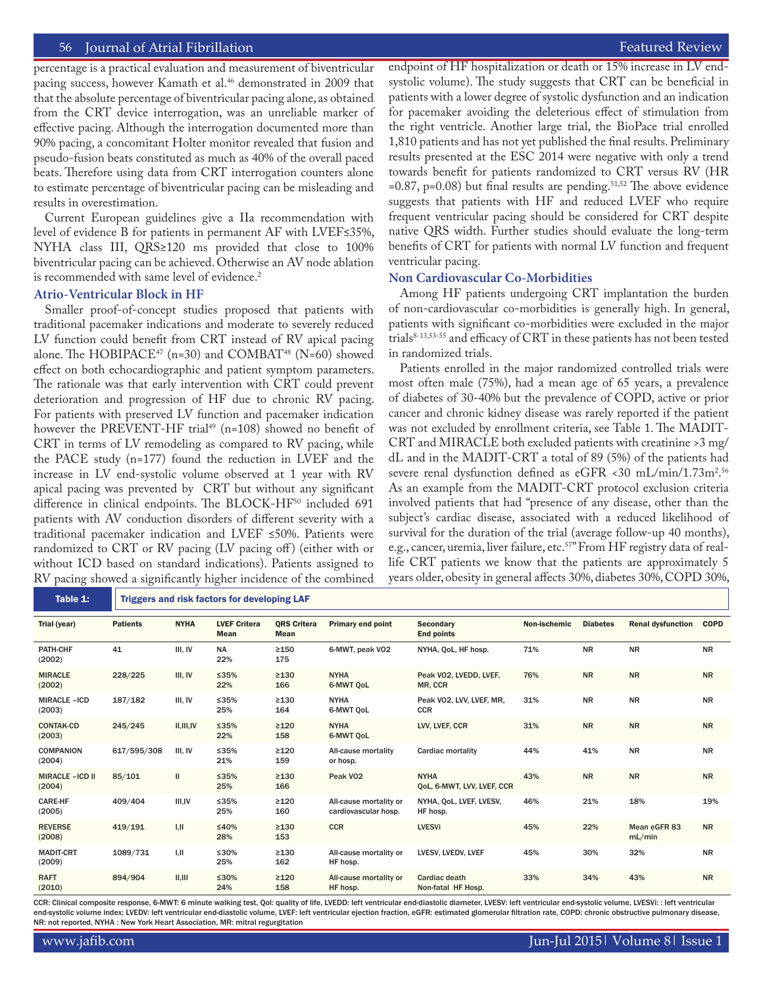## 56 Journal of Atrial Fibrillation Featured Review Featured Review

percentage is a practical evaluation and measurement of biventricular pacing success, however Kamath et al.<sup>46</sup> demonstrated in 2009 that that the absolute percentage of biventricular pacing alone, as obtained from the CRT device interrogation, was an unreliable marker of effective pacing. Although the interrogation documented more than 90% pacing, a concomitant Holter monitor revealed that fusion and pseudo-fusion beats constituted as much as 40% of the overall paced beats. Therefore using data from CRT interrogation counters alone to estimate percentage of biventricular pacing can be misleading and results in overestimation.

Current European guidelines give a IIa recommendation with level of evidence B for patients in permanent AF with LVEF≤35%, NYHA class III, QRS≥120 ms provided that close to 100% biventricular pacing can be achieved. Otherwise an AV node ablation is recommended with same level of evidence.<sup>2</sup>

## **Atrio-Ventricular Block in HF**

Smaller proof-of-concept studies proposed that patients with traditional pacemaker indications and moderate to severely reduced LV function could benefit from CRT instead of RV apical pacing alone. The HOBIPACE<sup>47</sup> (n=30) and COMBAT<sup>48</sup> (N=60) showed effect on both echocardiographic and patient symptom parameters. The rationale was that early intervention with CRT could prevent deterioration and progression of HF due to chronic RV pacing. For patients with preserved LV function and pacemaker indication however the PREVENT-HF trial<sup>49</sup> (n=108) showed no benefit of CRT in terms of LV remodeling as compared to RV pacing, while the PACE study (n=177) found the reduction in LVEF and the increase in LV end-systolic volume observed at 1 year with RV apical pacing was prevented by CRT but without any significant difference in clinical endpoints. The BLOCK-HF<sup>50</sup> included 691 patients with AV conduction disorders of different severity with a traditional pacemaker indication and LVEF ≤50%. Patients were randomized to CRT or RV pacing (LV pacing off) (either with or without ICD based on standard indications). Patients assigned to RV pacing showed a significantly higher incidence of the combined

endpoint of HF hospitalization or death or 15% increase in LV endsystolic volume). The study suggests that CRT can be beneficial in patients with a lower degree of systolic dysfunction and an indication for pacemaker avoiding the deleterious effect of stimulation from the right ventricle. Another large trial, the BioPace trial enrolled 1,810 patients and has not yet published the final results. Preliminary results presented at the ESC 2014 were negative with only a trend towards benefit for patients randomized to CRT versus RV (HR =0.87, p=0.08) but final results are pending.<sup>51,52</sup> The above evidence suggests that patients with HF and reduced LVEF who require frequent ventricular pacing should be considered for CRT despite native QRS width. Further studies should evaluate the long-term benefits of CRT for patients with normal LV function and frequent ventricular pacing.

#### **Non Cardiovascular Co-Morbidities**

Among HF patients undergoing CRT implantation the burden of non-cardiovascular co-morbidities is generally high. In general, patients with significant co-morbidities were excluded in the major trials<sup>8-13,53-55</sup> and efficacy of CRT in these patients has not been tested in randomized trials.

Patients enrolled in the major randomized controlled trials were most often male (75%), had a mean age of 65 years, a prevalence of diabetes of 30-40% but the prevalence of COPD, active or prior cancer and chronic kidney disease was rarely reported if the patient was not excluded by enrollment criteria, see Table 1. The MADIT-CRT and MIRACLE both excluded patients with creatinine >3 mg/ dL and in the MADIT-CRT a total of 89 (5%) of the patients had severe renal dysfunction defined as eGFR <30 mL/min/1.73m<sup>2.56</sup> As an example from the MADIT-CRT protocol exclusion criteria involved patients that had "presence of any disease, other than the subject's cardiac disease, associated with a reduced likelihood of survival for the duration of the trial (average follow-up 40 months), e.g., cancer, uremia, liver failure, etc.<sup>57"</sup> From HF registry data of reallife CRT patients we know that the patients are approximately 5 years older, obesity in general affects 30%, diabetes 30%, COPD 30%,

| Table 1:                        | <b>Triggers and risk factors for developing LAF</b> |              |                             |                            |                                                |                                           |              |                 |                          |             |
|---------------------------------|-----------------------------------------------------|--------------|-----------------------------|----------------------------|------------------------------------------------|-------------------------------------------|--------------|-----------------|--------------------------|-------------|
| Trial (year)                    | <b>Patients</b>                                     | <b>NYHA</b>  | <b>LVEF Critera</b><br>Mean | <b>ORS Critera</b><br>Mean | <b>Primary end point</b>                       | <b>Secondary</b><br><b>End points</b>     | Non-ischemic | <b>Diabetes</b> | <b>Renal dysfunction</b> | <b>COPD</b> |
| PATH-CHF<br>(2002)              | 41                                                  | III, IV      | <b>NA</b><br>22%            | ≥150<br>175                | 6-MWT, peak VO2                                | NYHA, QoL, HF hosp.                       | 71%          | <b>NR</b>       | <b>NR</b>                | <b>NR</b>   |
| <b>MIRACLE</b><br>(2002)        | 228/225                                             | III, IV      | $≤35%$<br>22%               | $\geq 130$<br>166          | <b>NYHA</b><br><b>6-MWT QoL</b>                | Peak VO2, LVEDD, LVEF,<br>MR, CCR         | 76%          | <b>NR</b>       | <b>NR</b>                | <b>NR</b>   |
| <b>MIRACLE-ICD</b><br>(2003)    | 187/182                                             | III, IV      | ≤35%<br>25%                 | ≥130<br>164                | <b>NYHA</b><br>6-MWT QoL                       | Peak VO2, LVV, LVEF, MR,<br><b>CCR</b>    | 31%          | <b>NR</b>       | <b>NR</b>                | <b>NR</b>   |
| <b>CONTAK-CD</b><br>(2003)      | 245/245                                             | II, III, IV  | $≤35%$<br>22%               | ≥120<br>158                | <b>NYHA</b><br>6-MWT QoL                       | LVV. LVEF. CCR                            | 31%          | <b>NR</b>       | <b>NR</b>                | <b>NR</b>   |
| <b>COMPANION</b><br>(2004)      | 617/595/308                                         | III, IV      | ≤35%<br>21%                 | ≥120<br>159                | All-cause mortality<br>or hosp.                | Cardiac mortality                         | 44%          | 41%             | <b>NR</b>                | <b>NR</b>   |
| <b>MIRACLE-ICD II</b><br>(2004) | 85/101                                              | $\mathbf{H}$ | $≤35%$<br>25%               | $\geq 130$<br>166          | Peak VO <sub>2</sub>                           | <b>NYHA</b><br>QoL, 6-MWT, LVV, LVEF, CCR | 43%          | <b>NR</b>       | <b>NR</b>                | <b>NR</b>   |
| <b>CARE-HF</b><br>(2005)        | 409/404                                             | III,IV       | $≤35%$<br>25%               | ≥120<br>160                | All-cause mortality or<br>cardiovascular hosp. | NYHA, QoL, LVEF, LVESV,<br>HF hosp.       | 46%          | 21%             | 18%                      | 19%         |
| <b>REVERSE</b><br>(2008)        | 419/191                                             | I,II         | ≤40%<br>28%                 | $\geq 130$<br>153          | <b>CCR</b>                                     | <b>LVESVi</b>                             | 45%          | 22%             | Mean eGFR 83<br>mL/min   | <b>NR</b>   |
| <b>MADIT-CRT</b><br>(2009)      | 1089/731                                            | I, II        | ≤30%<br>25%                 | ≥130<br>162                | All-cause mortality or<br>HF hosp.             | LVESV. LVEDV. LVEF                        | 45%          | 30%             | 32%                      | <b>NR</b>   |
| <b>RAFT</b><br>(2010)           | 894/904                                             | II.III       | $≤30%$<br>24%               | ≥120<br>158                | All-cause mortality or<br>HF hosp.             | Cardiac death<br>Non-fatal HF Hosp.       | 33%          | 34%             | 43%                      | <b>NR</b>   |

CCR: Clinical composite response, 6-MWT: 6 minute walking test, Qol: quality of life, LVEDD: left ventricular end-diastolic diameter, LVESV: left ventricular end-systolic volume, LVESVi: : left ventricular end-systolic volume index; LVEDV: left ventricular end-diastolic volume, LVEF: left ventricular ejection fraction, eGFR: estimated glomerular filtration rate, COPD: chronic obstructive pulmonary disease, NR: not reported, NYHA : New York Heart Association, MR: mitral regurgitation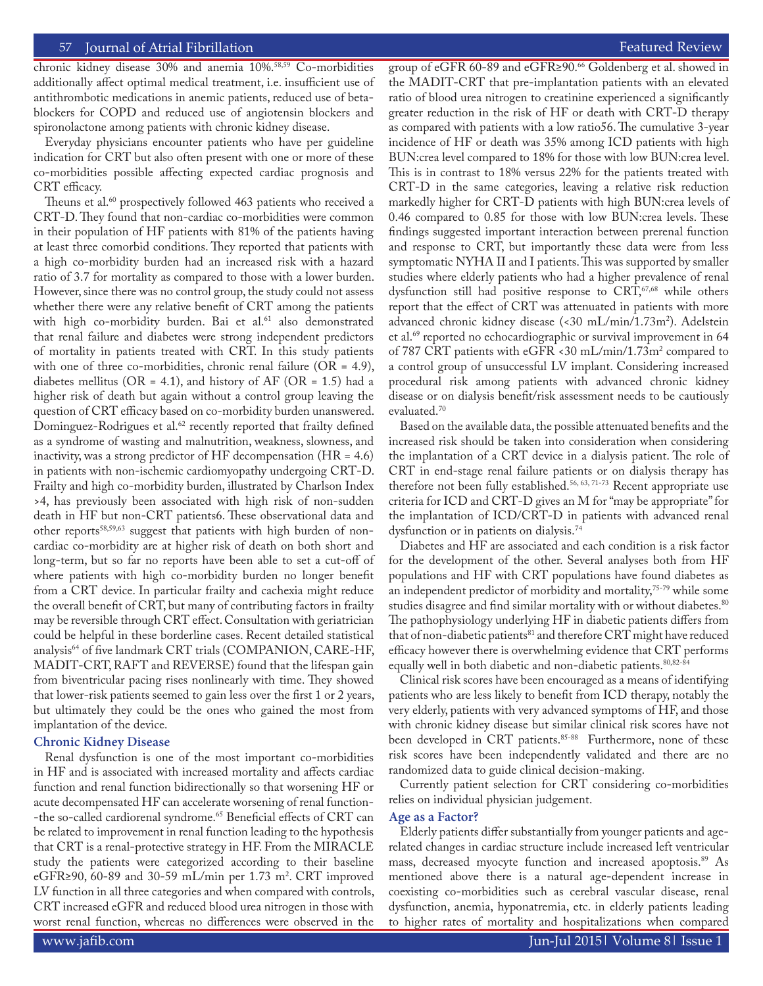# 57 Journal of Atrial Fibrillation Featured Review Featured Review Featured Review Featured Review

chronic kidney disease 30% and anemia 10%.58,59 Co-morbidities additionally affect optimal medical treatment, i.e. insufficient use of antithrombotic medications in anemic patients, reduced use of betablockers for COPD and reduced use of angiotensin blockers and spironolactone among patients with chronic kidney disease.

Everyday physicians encounter patients who have per guideline indication for CRT but also often present with one or more of these co-morbidities possible affecting expected cardiac prognosis and CRT efficacy.

Theuns et al.<sup>60</sup> prospectively followed 463 patients who received a CRT-D. They found that non-cardiac co-morbidities were common in their population of HF patients with 81% of the patients having at least three comorbid conditions. They reported that patients with a high co-morbidity burden had an increased risk with a hazard ratio of 3.7 for mortality as compared to those with a lower burden. However, since there was no control group, the study could not assess whether there were any relative benefit of CRT among the patients with high co-morbidity burden. Bai et al.<sup>61</sup> also demonstrated that renal failure and diabetes were strong independent predictors of mortality in patients treated with CRT. In this study patients with one of three co-morbidities, chronic renal failure (OR = 4.9), diabetes mellitus (OR = 4.1), and history of AF (OR = 1.5) had a higher risk of death but again without a control group leaving the question of CRT efficacy based on co-morbidity burden unanswered. Dominguez-Rodrigues et al.<sup>62</sup> recently reported that frailty defined as a syndrome of wasting and malnutrition, weakness, slowness, and inactivity, was a strong predictor of HF decompensation (HR = 4.6) in patients with non-ischemic cardiomyopathy undergoing CRT-D. Frailty and high co-morbidity burden, illustrated by Charlson Index >4, has previously been associated with high risk of non-sudden death in HF but non-CRT patients6. These observational data and other reports<sup>58,59,63</sup> suggest that patients with high burden of noncardiac co-morbidity are at higher risk of death on both short and long-term, but so far no reports have been able to set a cut-off of where patients with high co-morbidity burden no longer benefit from a CRT device. In particular frailty and cachexia might reduce the overall benefit of CRT, but many of contributing factors in frailty may be reversible through CRT effect. Consultation with geriatrician could be helpful in these borderline cases. Recent detailed statistical analysis<sup>64</sup> of five landmark CRT trials (COMPANION, CARE-HF, MADIT-CRT, RAFT and REVERSE) found that the lifespan gain from biventricular pacing rises nonlinearly with time. They showed that lower-risk patients seemed to gain less over the first 1 or 2 years, but ultimately they could be the ones who gained the most from implantation of the device.

#### **Chronic Kidney Disease**

Renal dysfunction is one of the most important co-morbidities in HF and is associated with increased mortality and affects cardiac function and renal function bidirectionally so that worsening HF or acute decompensated HF can accelerate worsening of renal function- -the so-called cardiorenal syndrome.65 Beneficial effects of CRT can be related to improvement in renal function leading to the hypothesis that CRT is a renal-protective strategy in HF. From the MIRACLE study the patients were categorized according to their baseline eGFR≥90, 60-89 and 30-59 mL/min per 1.73 m2 . CRT improved LV function in all three categories and when compared with controls, CRT increased eGFR and reduced blood urea nitrogen in those with worst renal function, whereas no differences were observed in the

group of eGFR 60-89 and eGFR≥90.66 Goldenberg et al. showed in the MADIT-CRT that pre-implantation patients with an elevated ratio of blood urea nitrogen to creatinine experienced a significantly greater reduction in the risk of HF or death with CRT-D therapy as compared with patients with a low ratio56. The cumulative 3-year incidence of HF or death was 35% among ICD patients with high BUN:crea level compared to 18% for those with low BUN:crea level. This is in contrast to 18% versus 22% for the patients treated with CRT-D in the same categories, leaving a relative risk reduction markedly higher for CRT-D patients with high BUN:crea levels of 0.46 compared to 0.85 for those with low BUN:crea levels. These findings suggested important interaction between prerenal function and response to CRT, but importantly these data were from less symptomatic NYHA II and I patients. This was supported by smaller studies where elderly patients who had a higher prevalence of renal dysfunction still had positive response to CRT,<sup>67,68</sup> while others report that the effect of CRT was attenuated in patients with more advanced chronic kidney disease (<30 mL/min/1.73m2 ). Adelstein et al.<sup>69</sup> reported no echocardiographic or survival improvement in 64 of 787 CRT patients with eGFR <30 mL/min/1.73m<sup>2</sup> compared to a control group of unsuccessful LV implant. Considering increased procedural risk among patients with advanced chronic kidney disease or on dialysis benefit/risk assessment needs to be cautiously evaluated.70

Based on the available data, the possible attenuated benefits and the increased risk should be taken into consideration when considering the implantation of a CRT device in a dialysis patient. The role of CRT in end-stage renal failure patients or on dialysis therapy has therefore not been fully established.<sup>56, 63, 71-73</sup> Recent appropriate use criteria for ICD and CRT-D gives an M for "may be appropriate" for the implantation of ICD/CRT-D in patients with advanced renal dysfunction or in patients on dialysis.74

Diabetes and HF are associated and each condition is a risk factor for the development of the other. Several analyses both from HF populations and HF with CRT populations have found diabetes as an independent predictor of morbidity and mortality,<sup>75-79</sup> while some studies disagree and find similar mortality with or without diabetes.<sup>80</sup> The pathophysiology underlying HF in diabetic patients differs from that of non-diabetic patients<sup>81</sup> and therefore CRT might have reduced efficacy however there is overwhelming evidence that CRT performs equally well in both diabetic and non-diabetic patients. 80,82-84

Clinical risk scores have been encouraged as a means of identifying patients who are less likely to benefit from ICD therapy, notably the very elderly, patients with very advanced symptoms of HF, and those with chronic kidney disease but similar clinical risk scores have not been developed in CRT patients.<sup>85-88</sup> Furthermore, none of these risk scores have been independently validated and there are no randomized data to guide clinical decision-making.

Currently patient selection for CRT considering co-morbidities relies on individual physician judgement.

#### **Age as a Factor?**

Elderly patients differ substantially from younger patients and agerelated changes in cardiac structure include increased left ventricular mass, decreased myocyte function and increased apoptosis.<sup>89</sup> As mentioned above there is a natural age-dependent increase in coexisting co-morbidities such as cerebral vascular disease, renal dysfunction, anemia, hyponatremia, etc. in elderly patients leading to higher rates of mortality and hospitalizations when compared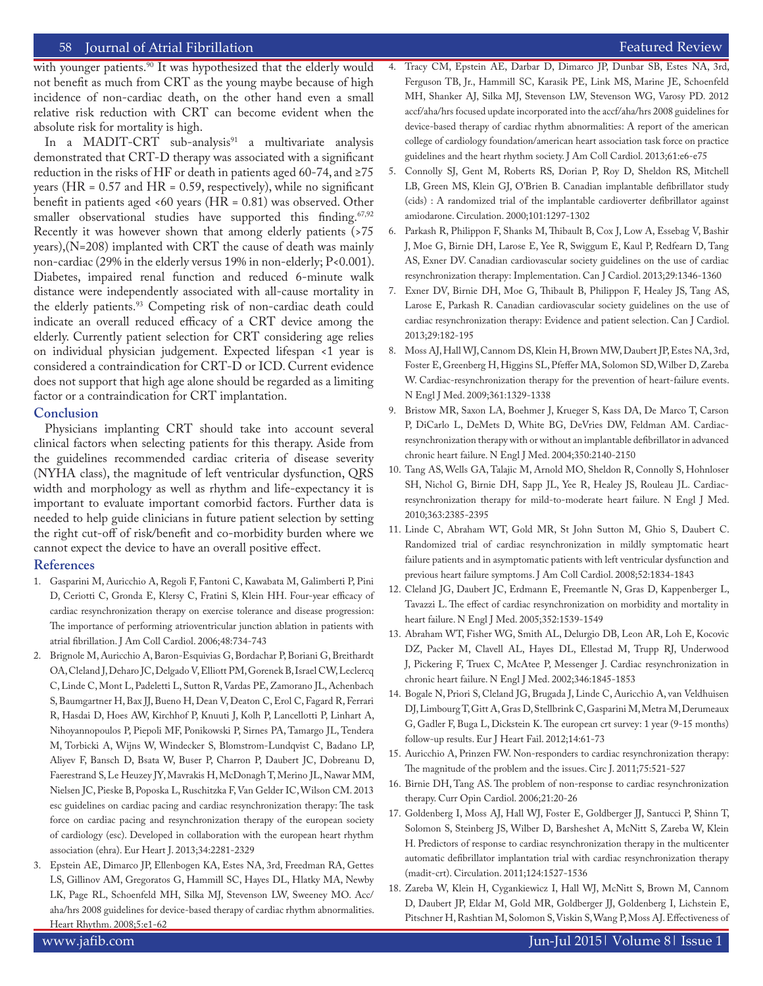# 58 Journal of Atrial Fibrillation Featured Review Featured Review

with younger patients.<sup>90</sup> It was hypothesized that the elderly would not benefit as much from CRT as the young maybe because of high incidence of non-cardiac death, on the other hand even a small relative risk reduction with CRT can become evident when the absolute risk for mortality is high.

In a MADIT-CRT sub-analysis<sup>91</sup> a multivariate analysis demonstrated that CRT-D therapy was associated with a significant reduction in the risks of HF or death in patients aged 60-74, and  $\geq 75$ years (HR =  $0.57$  and HR =  $0.59$ , respectively), while no significant benefit in patients aged  $\langle 60 \rangle$  years (HR = 0.81) was observed. Other smaller observational studies have supported this finding.<sup>67,92</sup> Recently it was however shown that among elderly patients (>75 years),(N=208) implanted with CRT the cause of death was mainly non-cardiac (29% in the elderly versus 19% in non-elderly; P<0.001). Diabetes, impaired renal function and reduced 6-minute walk distance were independently associated with all-cause mortality in the elderly patients.<sup>93</sup> Competing risk of non-cardiac death could indicate an overall reduced efficacy of a CRT device among the elderly. Currently patient selection for CRT considering age relies on individual physician judgement. Expected lifespan <1 year is considered a contraindication for CRT-D or ICD. Current evidence does not support that high age alone should be regarded as a limiting factor or a contraindication for CRT implantation.

#### **Conclusion**

Physicians implanting CRT should take into account several clinical factors when selecting patients for this therapy. Aside from the guidelines recommended cardiac criteria of disease severity (NYHA class), the magnitude of left ventricular dysfunction, QRS width and morphology as well as rhythm and life-expectancy it is important to evaluate important comorbid factors. Further data is needed to help guide clinicians in future patient selection by setting the right cut-off of risk/benefit and co-morbidity burden where we cannot expect the device to have an overall positive effect.

#### **References**

- 1. Gasparini M, Auricchio A, Regoli F, Fantoni C, Kawabata M, Galimberti P, Pini D, Ceriotti C, Gronda E, Klersy C, Fratini S, Klein HH. Four-year efficacy of cardiac resynchronization therapy on exercise tolerance and disease progression: The importance of performing atrioventricular junction ablation in patients with atrial fibrillation. J Am Coll Cardiol. 2006;48:734-743
- 2. Brignole M, Auricchio A, Baron-Esquivias G, Bordachar P, Boriani G, Breithardt OA, Cleland J, Deharo JC, Delgado V, Elliott PM, Gorenek B, Israel CW, Leclercq C, Linde C, Mont L, Padeletti L, Sutton R, Vardas PE, Zamorano JL, Achenbach S, Baumgartner H, Bax JJ, Bueno H, Dean V, Deaton C, Erol C, Fagard R, Ferrari R, Hasdai D, Hoes AW, Kirchhof P, Knuuti J, Kolh P, Lancellotti P, Linhart A, Nihoyannopoulos P, Piepoli MF, Ponikowski P, Sirnes PA, Tamargo JL, Tendera M, Torbicki A, Wijns W, Windecker S, Blomstrom-Lundqvist C, Badano LP, Aliyev F, Bansch D, Bsata W, Buser P, Charron P, Daubert JC, Dobreanu D, Faerestrand S, Le Heuzey JY, Mavrakis H, McDonagh T, Merino JL, Nawar MM, Nielsen JC, Pieske B, Poposka L, Ruschitzka F, Van Gelder IC, Wilson CM. 2013 esc guidelines on cardiac pacing and cardiac resynchronization therapy: The task force on cardiac pacing and resynchronization therapy of the european society of cardiology (esc). Developed in collaboration with the european heart rhythm association (ehra). Eur Heart J. 2013;34:2281-2329
- 3. Epstein AE, Dimarco JP, Ellenbogen KA, Estes NA, 3rd, Freedman RA, Gettes LS, Gillinov AM, Gregoratos G, Hammill SC, Hayes DL, Hlatky MA, Newby LK, Page RL, Schoenfeld MH, Silka MJ, Stevenson LW, Sweeney MO. Acc/ aha/hrs 2008 guidelines for device-based therapy of cardiac rhythm abnormalities. Heart Rhythm. 2008;5:e1-62
- 4. Tracy CM, Epstein AE, Darbar D, Dimarco JP, Dunbar SB, Estes NA, 3rd, Ferguson TB, Jr., Hammill SC, Karasik PE, Link MS, Marine JE, Schoenfeld MH, Shanker AJ, Silka MJ, Stevenson LW, Stevenson WG, Varosy PD. 2012 accf/aha/hrs focused update incorporated into the accf/aha/hrs 2008 guidelines for device-based therapy of cardiac rhythm abnormalities: A report of the american college of cardiology foundation/american heart association task force on practice guidelines and the heart rhythm society. J Am Coll Cardiol. 2013;61:e6-e75
- 5. Connolly SJ, Gent M, Roberts RS, Dorian P, Roy D, Sheldon RS, Mitchell LB, Green MS, Klein GJ, O'Brien B. Canadian implantable defibrillator study (cids) : A randomized trial of the implantable cardioverter defibrillator against amiodarone. Circulation. 2000;101:1297-1302
- 6. Parkash R, Philippon F, Shanks M, Thibault B, Cox J, Low A, Essebag V, Bashir J, Moe G, Birnie DH, Larose E, Yee R, Swiggum E, Kaul P, Redfearn D, Tang AS, Exner DV. Canadian cardiovascular society guidelines on the use of cardiac resynchronization therapy: Implementation. Can J Cardiol. 2013;29:1346-1360
- 7. Exner DV, Birnie DH, Moe G, Thibault B, Philippon F, Healey JS, Tang AS, Larose E, Parkash R. Canadian cardiovascular society guidelines on the use of cardiac resynchronization therapy: Evidence and patient selection. Can J Cardiol. 2013;29:182-195
- 8. Moss AJ, Hall WJ, Cannom DS, Klein H, Brown MW, Daubert JP, Estes NA, 3rd, Foster E, Greenberg H, Higgins SL, Pfeffer MA, Solomon SD, Wilber D, Zareba W. Cardiac-resynchronization therapy for the prevention of heart-failure events. N Engl J Med. 2009;361:1329-1338
- 9. Bristow MR, Saxon LA, Boehmer J, Krueger S, Kass DA, De Marco T, Carson P, DiCarlo L, DeMets D, White BG, DeVries DW, Feldman AM. Cardiacresynchronization therapy with or without an implantable defibrillator in advanced chronic heart failure. N Engl J Med. 2004;350:2140-2150
- 10. Tang AS, Wells GA, Talajic M, Arnold MO, Sheldon R, Connolly S, Hohnloser SH, Nichol G, Birnie DH, Sapp JL, Yee R, Healey JS, Rouleau JL. Cardiacresynchronization therapy for mild-to-moderate heart failure. N Engl J Med. 2010;363:2385-2395
- 11. Linde C, Abraham WT, Gold MR, St John Sutton M, Ghio S, Daubert C. Randomized trial of cardiac resynchronization in mildly symptomatic heart failure patients and in asymptomatic patients with left ventricular dysfunction and previous heart failure symptoms. J Am Coll Cardiol. 2008;52:1834-1843
- 12. Cleland JG, Daubert JC, Erdmann E, Freemantle N, Gras D, Kappenberger L, Tavazzi L. The effect of cardiac resynchronization on morbidity and mortality in heart failure. N Engl J Med. 2005;352:1539-1549
- 13. Abraham WT, Fisher WG, Smith AL, Delurgio DB, Leon AR, Loh E, Kocovic DZ, Packer M, Clavell AL, Hayes DL, Ellestad M, Trupp RJ, Underwood J, Pickering F, Truex C, McAtee P, Messenger J. Cardiac resynchronization in chronic heart failure. N Engl J Med. 2002;346:1845-1853
- 14. Bogale N, Priori S, Cleland JG, Brugada J, Linde C, Auricchio A, van Veldhuisen DJ, Limbourg T, Gitt A, Gras D, Stellbrink C, Gasparini M, Metra M, Derumeaux G, Gadler F, Buga L, Dickstein K. The european crt survey: 1 year (9-15 months) follow-up results. Eur J Heart Fail. 2012;14:61-73
- 15. Auricchio A, Prinzen FW. Non-responders to cardiac resynchronization therapy: The magnitude of the problem and the issues. Circ J. 2011;75:521-527
- 16. Birnie DH, Tang AS. The problem of non-response to cardiac resynchronization therapy. Curr Opin Cardiol. 2006;21:20-26
- 17. Goldenberg I, Moss AJ, Hall WJ, Foster E, Goldberger JJ, Santucci P, Shinn T, Solomon S, Steinberg JS, Wilber D, Barsheshet A, McNitt S, Zareba W, Klein H. Predictors of response to cardiac resynchronization therapy in the multicenter automatic defibrillator implantation trial with cardiac resynchronization therapy (madit-crt). Circulation. 2011;124:1527-1536
- 18. Zareba W, Klein H, Cygankiewicz I, Hall WJ, McNitt S, Brown M, Cannom D, Daubert JP, Eldar M, Gold MR, Goldberger JJ, Goldenberg I, Lichstein E, Pitschner H, Rashtian M, Solomon S, Viskin S, Wang P, Moss AJ. Effectiveness of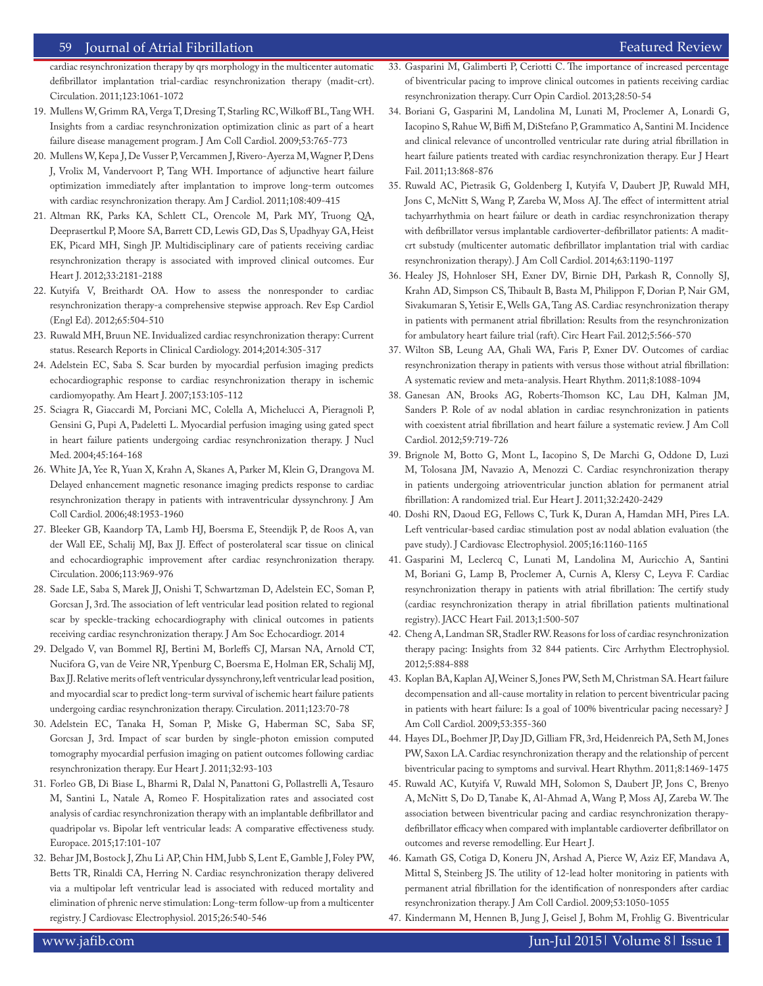# 59 Journal of Atrial Fibrillation Featured Review Featured Review

cardiac resynchronization therapy by qrs morphology in the multicenter automatic defibrillator implantation trial-cardiac resynchronization therapy (madit-crt). Circulation. 2011;123:1061-1072

- 19. Mullens W, Grimm RA, Verga T, Dresing T, Starling RC, Wilkoff BL, Tang WH. Insights from a cardiac resynchronization optimization clinic as part of a heart failure disease management program. J Am Coll Cardiol. 2009;53:765-773
- 20. Mullens W, Kepa J, De Vusser P, Vercammen J, Rivero-Ayerza M, Wagner P, Dens J, Vrolix M, Vandervoort P, Tang WH. Importance of adjunctive heart failure optimization immediately after implantation to improve long-term outcomes with cardiac resynchronization therapy. Am J Cardiol. 2011;108:409-415
- 21. Altman RK, Parks KA, Schlett CL, Orencole M, Park MY, Truong QA, Deeprasertkul P, Moore SA, Barrett CD, Lewis GD, Das S, Upadhyay GA, Heist EK, Picard MH, Singh JP. Multidisciplinary care of patients receiving cardiac resynchronization therapy is associated with improved clinical outcomes. Eur Heart J. 2012;33:2181-2188
- 22. Kutyifa V, Breithardt OA. How to assess the nonresponder to cardiac resynchronization therapy-a comprehensive stepwise approach. Rev Esp Cardiol (Engl Ed). 2012;65:504-510
- 23. Ruwald MH, Bruun NE. Invidualized cardiac resynchronization therapy: Current status. Research Reports in Clinical Cardiology. 2014;2014:305-317
- 24. Adelstein EC, Saba S. Scar burden by myocardial perfusion imaging predicts echocardiographic response to cardiac resynchronization therapy in ischemic cardiomyopathy. Am Heart J. 2007;153:105-112
- 25. Sciagra R, Giaccardi M, Porciani MC, Colella A, Michelucci A, Pieragnoli P, Gensini G, Pupi A, Padeletti L. Myocardial perfusion imaging using gated spect in heart failure patients undergoing cardiac resynchronization therapy. J Nucl Med. 2004;45:164-168
- 26. White JA, Yee R, Yuan X, Krahn A, Skanes A, Parker M, Klein G, Drangova M. Delayed enhancement magnetic resonance imaging predicts response to cardiac resynchronization therapy in patients with intraventricular dyssynchrony. J Am Coll Cardiol. 2006;48:1953-1960
- 27. Bleeker GB, Kaandorp TA, Lamb HJ, Boersma E, Steendijk P, de Roos A, van der Wall EE, Schalij MJ, Bax JJ. Effect of posterolateral scar tissue on clinical and echocardiographic improvement after cardiac resynchronization therapy. Circulation. 2006;113:969-976
- 28. Sade LE, Saba S, Marek JJ, Onishi T, Schwartzman D, Adelstein EC, Soman P, Gorcsan J, 3rd. The association of left ventricular lead position related to regional scar by speckle-tracking echocardiography with clinical outcomes in patients receiving cardiac resynchronization therapy. J Am Soc Echocardiogr. 2014
- 29. Delgado V, van Bommel RJ, Bertini M, Borleffs CJ, Marsan NA, Arnold CT, Nucifora G, van de Veire NR, Ypenburg C, Boersma E, Holman ER, Schalij MJ, Bax JJ. Relative merits of left ventricular dyssynchrony, left ventricular lead position, and myocardial scar to predict long-term survival of ischemic heart failure patients undergoing cardiac resynchronization therapy. Circulation. 2011;123:70-78
- 30. Adelstein EC, Tanaka H, Soman P, Miske G, Haberman SC, Saba SF, Gorcsan J, 3rd. Impact of scar burden by single-photon emission computed tomography myocardial perfusion imaging on patient outcomes following cardiac resynchronization therapy. Eur Heart J. 2011;32:93-103
- 31. Forleo GB, Di Biase L, Bharmi R, Dalal N, Panattoni G, Pollastrelli A, Tesauro M, Santini L, Natale A, Romeo F. Hospitalization rates and associated cost analysis of cardiac resynchronization therapy with an implantable defibrillator and quadripolar vs. Bipolar left ventricular leads: A comparative effectiveness study. Europace. 2015;17:101-107
- 32. Behar JM, Bostock J, Zhu Li AP, Chin HM, Jubb S, Lent E, Gamble J, Foley PW, Betts TR, Rinaldi CA, Herring N. Cardiac resynchronization therapy delivered via a multipolar left ventricular lead is associated with reduced mortality and elimination of phrenic nerve stimulation: Long-term follow-up from a multicenter registry. J Cardiovasc Electrophysiol. 2015;26:540-546
- 33. Gasparini M, Galimberti P, Ceriotti C. The importance of increased percentage of biventricular pacing to improve clinical outcomes in patients receiving cardiac resynchronization therapy. Curr Opin Cardiol. 2013;28:50-54
- 34. Boriani G, Gasparini M, Landolina M, Lunati M, Proclemer A, Lonardi G, Iacopino S, Rahue W, Biffi M, DiStefano P, Grammatico A, Santini M. Incidence and clinical relevance of uncontrolled ventricular rate during atrial fibrillation in heart failure patients treated with cardiac resynchronization therapy. Eur J Heart Fail. 2011;13:868-876
- 35. Ruwald AC, Pietrasik G, Goldenberg I, Kutyifa V, Daubert JP, Ruwald MH, Jons C, McNitt S, Wang P, Zareba W, Moss AJ. The effect of intermittent atrial tachyarrhythmia on heart failure or death in cardiac resynchronization therapy with defibrillator versus implantable cardioverter-defibrillator patients: A maditcrt substudy (multicenter automatic defibrillator implantation trial with cardiac resynchronization therapy). J Am Coll Cardiol. 2014;63:1190-1197
- 36. Healey JS, Hohnloser SH, Exner DV, Birnie DH, Parkash R, Connolly SJ, Krahn AD, Simpson CS, Thibault B, Basta M, Philippon F, Dorian P, Nair GM, Sivakumaran S, Yetisir E, Wells GA, Tang AS. Cardiac resynchronization therapy in patients with permanent atrial fibrillation: Results from the resynchronization for ambulatory heart failure trial (raft). Circ Heart Fail. 2012;5:566-570
- 37. Wilton SB, Leung AA, Ghali WA, Faris P, Exner DV. Outcomes of cardiac resynchronization therapy in patients with versus those without atrial fibrillation: A systematic review and meta-analysis. Heart Rhythm. 2011;8:1088-1094
- 38. Ganesan AN, Brooks AG, Roberts-Thomson KC, Lau DH, Kalman JM, Sanders P. Role of av nodal ablation in cardiac resynchronization in patients with coexistent atrial fibrillation and heart failure a systematic review. J Am Coll Cardiol. 2012;59:719-726
- 39. Brignole M, Botto G, Mont L, Iacopino S, De Marchi G, Oddone D, Luzi M, Tolosana JM, Navazio A, Menozzi C. Cardiac resynchronization therapy in patients undergoing atrioventricular junction ablation for permanent atrial fibrillation: A randomized trial. Eur Heart J. 2011;32:2420-2429
- 40. Doshi RN, Daoud EG, Fellows C, Turk K, Duran A, Hamdan MH, Pires LA. Left ventricular-based cardiac stimulation post av nodal ablation evaluation (the pave study). J Cardiovasc Electrophysiol. 2005;16:1160-1165
- 41. Gasparini M, Leclercq C, Lunati M, Landolina M, Auricchio A, Santini M, Boriani G, Lamp B, Proclemer A, Curnis A, Klersy C, Leyva F. Cardiac resynchronization therapy in patients with atrial fibrillation: The certify study (cardiac resynchronization therapy in atrial fibrillation patients multinational registry). JACC Heart Fail. 2013;1:500-507
- 42. Cheng A, Landman SR, Stadler RW. Reasons for loss of cardiac resynchronization therapy pacing: Insights from 32 844 patients. Circ Arrhythm Electrophysiol. 2012;5:884-888
- 43. Koplan BA, Kaplan AJ, Weiner S, Jones PW, Seth M, Christman SA. Heart failure decompensation and all-cause mortality in relation to percent biventricular pacing in patients with heart failure: Is a goal of 100% biventricular pacing necessary? J Am Coll Cardiol. 2009;53:355-360
- 44. Hayes DL, Boehmer JP, Day JD, Gilliam FR, 3rd, Heidenreich PA, Seth M, Jones PW, Saxon LA. Cardiac resynchronization therapy and the relationship of percent biventricular pacing to symptoms and survival. Heart Rhythm. 2011;8:1469-1475
- 45. Ruwald AC, Kutyifa V, Ruwald MH, Solomon S, Daubert JP, Jons C, Brenyo A, McNitt S, Do D, Tanabe K, Al-Ahmad A, Wang P, Moss AJ, Zareba W. The association between biventricular pacing and cardiac resynchronization therapydefibrillator efficacy when compared with implantable cardioverter defibrillator on outcomes and reverse remodelling. Eur Heart J.
- 46. Kamath GS, Cotiga D, Koneru JN, Arshad A, Pierce W, Aziz EF, Mandava A, Mittal S, Steinberg JS. The utility of 12-lead holter monitoring in patients with permanent atrial fibrillation for the identification of nonresponders after cardiac resynchronization therapy. J Am Coll Cardiol. 2009;53:1050-1055
- 47. Kindermann M, Hennen B, Jung J, Geisel J, Bohm M, Frohlig G. Biventricular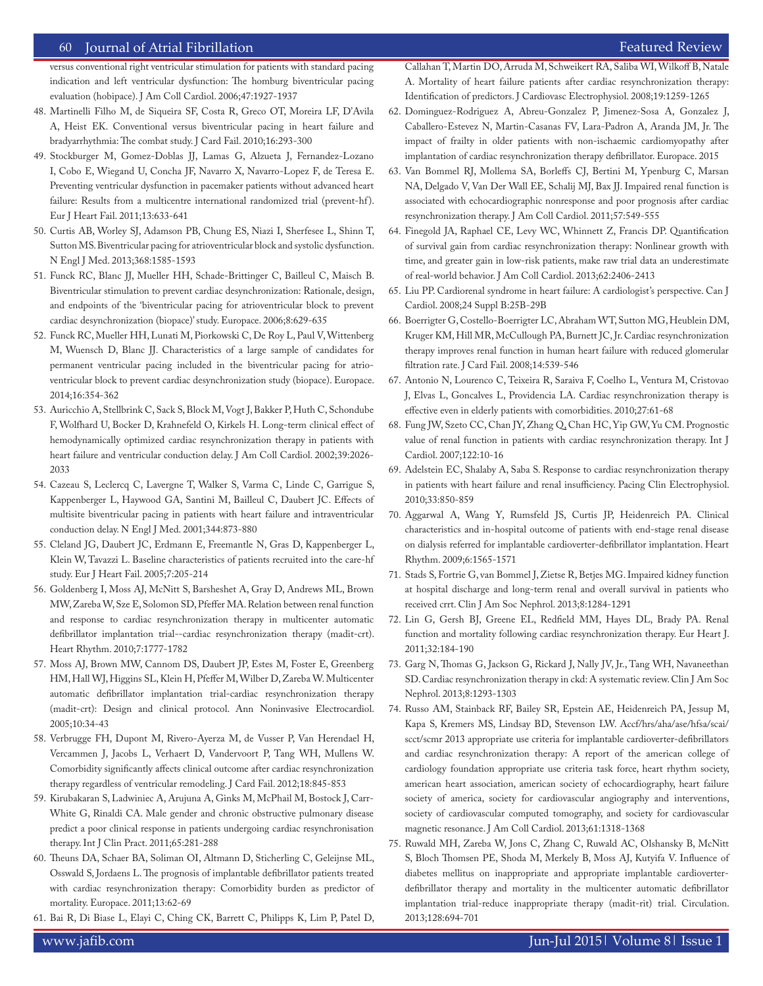# 60 Journal of Atrial Fibrillation Featured Review Featured Review Featured Review Featured Review

- 48. Martinelli Filho M, de Siqueira SF, Costa R, Greco OT, Moreira LF, D'Avila A, Heist EK. Conventional versus biventricular pacing in heart failure and bradyarrhythmia: The combat study. J Card Fail. 2010;16:293-300
- 49. Stockburger M, Gomez-Doblas JJ, Lamas G, Alzueta J, Fernandez-Lozano I, Cobo E, Wiegand U, Concha JF, Navarro X, Navarro-Lopez F, de Teresa E. Preventing ventricular dysfunction in pacemaker patients without advanced heart failure: Results from a multicentre international randomized trial (prevent-hf). Eur J Heart Fail. 2011;13:633-641
- 50. Curtis AB, Worley SJ, Adamson PB, Chung ES, Niazi I, Sherfesee L, Shinn T, Sutton MS. Biventricular pacing for atrioventricular block and systolic dysfunction. N Engl J Med. 2013;368:1585-1593
- 51. Funck RC, Blanc JJ, Mueller HH, Schade-Brittinger C, Bailleul C, Maisch B. Biventricular stimulation to prevent cardiac desynchronization: Rationale, design, and endpoints of the 'biventricular pacing for atrioventricular block to prevent cardiac desynchronization (biopace)' study. Europace. 2006;8:629-635
- 52. Funck RC, Mueller HH, Lunati M, Piorkowski C, De Roy L, Paul V, Wittenberg M, Wuensch D, Blanc JJ. Characteristics of a large sample of candidates for permanent ventricular pacing included in the biventricular pacing for atrioventricular block to prevent cardiac desynchronization study (biopace). Europace. 2014;16:354-362
- 53. Auricchio A, Stellbrink C, Sack S, Block M, Vogt J, Bakker P, Huth C, Schondube F, Wolfhard U, Bocker D, Krahnefeld O, Kirkels H. Long-term clinical effect of hemodynamically optimized cardiac resynchronization therapy in patients with heart failure and ventricular conduction delay. J Am Coll Cardiol. 2002;39:2026- 2033
- 54. Cazeau S, Leclercq C, Lavergne T, Walker S, Varma C, Linde C, Garrigue S, Kappenberger L, Haywood GA, Santini M, Bailleul C, Daubert JC. Effects of multisite biventricular pacing in patients with heart failure and intraventricular conduction delay. N Engl J Med. 2001;344:873-880
- 55. Cleland JG, Daubert JC, Erdmann E, Freemantle N, Gras D, Kappenberger L, Klein W, Tavazzi L. Baseline characteristics of patients recruited into the care-hf study. Eur J Heart Fail. 2005;7:205-214
- 56. Goldenberg I, Moss AJ, McNitt S, Barsheshet A, Gray D, Andrews ML, Brown MW, Zareba W, Sze E, Solomon SD, Pfeffer MA. Relation between renal function and response to cardiac resynchronization therapy in multicenter automatic defibrillator implantation trial--cardiac resynchronization therapy (madit-crt). Heart Rhythm. 2010;7:1777-1782
- 57. Moss AJ, Brown MW, Cannom DS, Daubert JP, Estes M, Foster E, Greenberg HM, Hall WJ, Higgins SL, Klein H, Pfeffer M, Wilber D, Zareba W. Multicenter automatic defibrillator implantation trial-cardiac resynchronization therapy (madit-crt): Design and clinical protocol. Ann Noninvasive Electrocardiol. 2005;10:34-43
- 58. Verbrugge FH, Dupont M, Rivero-Ayerza M, de Vusser P, Van Herendael H, Vercammen J, Jacobs L, Verhaert D, Vandervoort P, Tang WH, Mullens W. Comorbidity significantly affects clinical outcome after cardiac resynchronization therapy regardless of ventricular remodeling. J Card Fail. 2012;18:845-853
- 59. Kirubakaran S, Ladwiniec A, Arujuna A, Ginks M, McPhail M, Bostock J, Carr-White G, Rinaldi CA. Male gender and chronic obstructive pulmonary disease predict a poor clinical response in patients undergoing cardiac resynchronisation therapy. Int J Clin Pract. 2011;65:281-288
- 60. Theuns DA, Schaer BA, Soliman OI, Altmann D, Sticherling C, Geleijnse ML, Osswald S, Jordaens L. The prognosis of implantable defibrillator patients treated with cardiac resynchronization therapy: Comorbidity burden as predictor of mortality. Europace. 2011;13:62-69
- 61. Bai R, Di Biase L, Elayi C, Ching CK, Barrett C, Philipps K, Lim P, Patel D,

Callahan T, Martin DO, Arruda M, Schweikert RA, Saliba WI, Wilkoff B, Natale A. Mortality of heart failure patients after cardiac resynchronization therapy: Identification of predictors. J Cardiovasc Electrophysiol. 2008;19:1259-1265

- 62. Dominguez-Rodriguez A, Abreu-Gonzalez P, Jimenez-Sosa A, Gonzalez J, Caballero-Estevez N, Martin-Casanas FV, Lara-Padron A, Aranda JM, Jr. The impact of frailty in older patients with non-ischaemic cardiomyopathy after implantation of cardiac resynchronization therapy defibrillator. Europace. 2015
- 63. Van Bommel RJ, Mollema SA, Borleffs CJ, Bertini M, Ypenburg C, Marsan NA, Delgado V, Van Der Wall EE, Schalij MJ, Bax JJ. Impaired renal function is associated with echocardiographic nonresponse and poor prognosis after cardiac resynchronization therapy. J Am Coll Cardiol. 2011;57:549-555
- 64. Finegold JA, Raphael CE, Levy WC, Whinnett Z, Francis DP. Quantification of survival gain from cardiac resynchronization therapy: Nonlinear growth with time, and greater gain in low-risk patients, make raw trial data an underestimate of real-world behavior. J Am Coll Cardiol. 2013;62:2406-2413
- 65. Liu PP. Cardiorenal syndrome in heart failure: A cardiologist's perspective. Can J Cardiol. 2008;24 Suppl B:25B-29B
- 66. Boerrigter G, Costello-Boerrigter LC, Abraham WT, Sutton MG, Heublein DM, Kruger KM, Hill MR, McCullough PA, Burnett JC, Jr. Cardiac resynchronization therapy improves renal function in human heart failure with reduced glomerular filtration rate. J Card Fail. 2008;14:539-546
- 67. Antonio N, Lourenco C, Teixeira R, Saraiva F, Coelho L, Ventura M, Cristovao J, Elvas L, Goncalves L, Providencia LA. Cardiac resynchronization therapy is effective even in elderly patients with comorbidities. 2010;27:61-68
- 68. Fung JW, Szeto CC, Chan JY, Zhang Q, Chan HC, Yip GW, Yu CM. Prognostic value of renal function in patients with cardiac resynchronization therapy. Int J Cardiol. 2007;122:10-16
- 69. Adelstein EC, Shalaby A, Saba S. Response to cardiac resynchronization therapy in patients with heart failure and renal insufficiency. Pacing Clin Electrophysiol. 2010;33:850-859
- 70. Aggarwal A, Wang Y, Rumsfeld JS, Curtis JP, Heidenreich PA. Clinical characteristics and in-hospital outcome of patients with end-stage renal disease on dialysis referred for implantable cardioverter-defibrillator implantation. Heart Rhythm. 2009;6:1565-1571
- 71. Stads S, Fortrie G, van Bommel J, Zietse R, Betjes MG. Impaired kidney function at hospital discharge and long-term renal and overall survival in patients who received crrt. Clin J Am Soc Nephrol. 2013;8:1284-1291
- 72. Lin G, Gersh BJ, Greene EL, Redfield MM, Hayes DL, Brady PA. Renal function and mortality following cardiac resynchronization therapy. Eur Heart J. 2011;32:184-190
- 73. Garg N, Thomas G, Jackson G, Rickard J, Nally JV, Jr., Tang WH, Navaneethan SD. Cardiac resynchronization therapy in ckd: A systematic review. Clin J Am Soc Nephrol. 2013;8:1293-1303
- 74. Russo AM, Stainback RF, Bailey SR, Epstein AE, Heidenreich PA, Jessup M, Kapa S, Kremers MS, Lindsay BD, Stevenson LW. Accf/hrs/aha/ase/hfsa/scai/ scct/scmr 2013 appropriate use criteria for implantable cardioverter-defibrillators and cardiac resynchronization therapy: A report of the american college of cardiology foundation appropriate use criteria task force, heart rhythm society, american heart association, american society of echocardiography, heart failure society of america, society for cardiovascular angiography and interventions, society of cardiovascular computed tomography, and society for cardiovascular magnetic resonance. J Am Coll Cardiol. 2013;61:1318-1368
- 75. Ruwald MH, Zareba W, Jons C, Zhang C, Ruwald AC, Olshansky B, McNitt S, Bloch Thomsen PE, Shoda M, Merkely B, Moss AJ, Kutyifa V. Influence of diabetes mellitus on inappropriate and appropriate implantable cardioverterdefibrillator therapy and mortality in the multicenter automatic defibrillator implantation trial-reduce inappropriate therapy (madit-rit) trial. Circulation. 2013;128:694-701